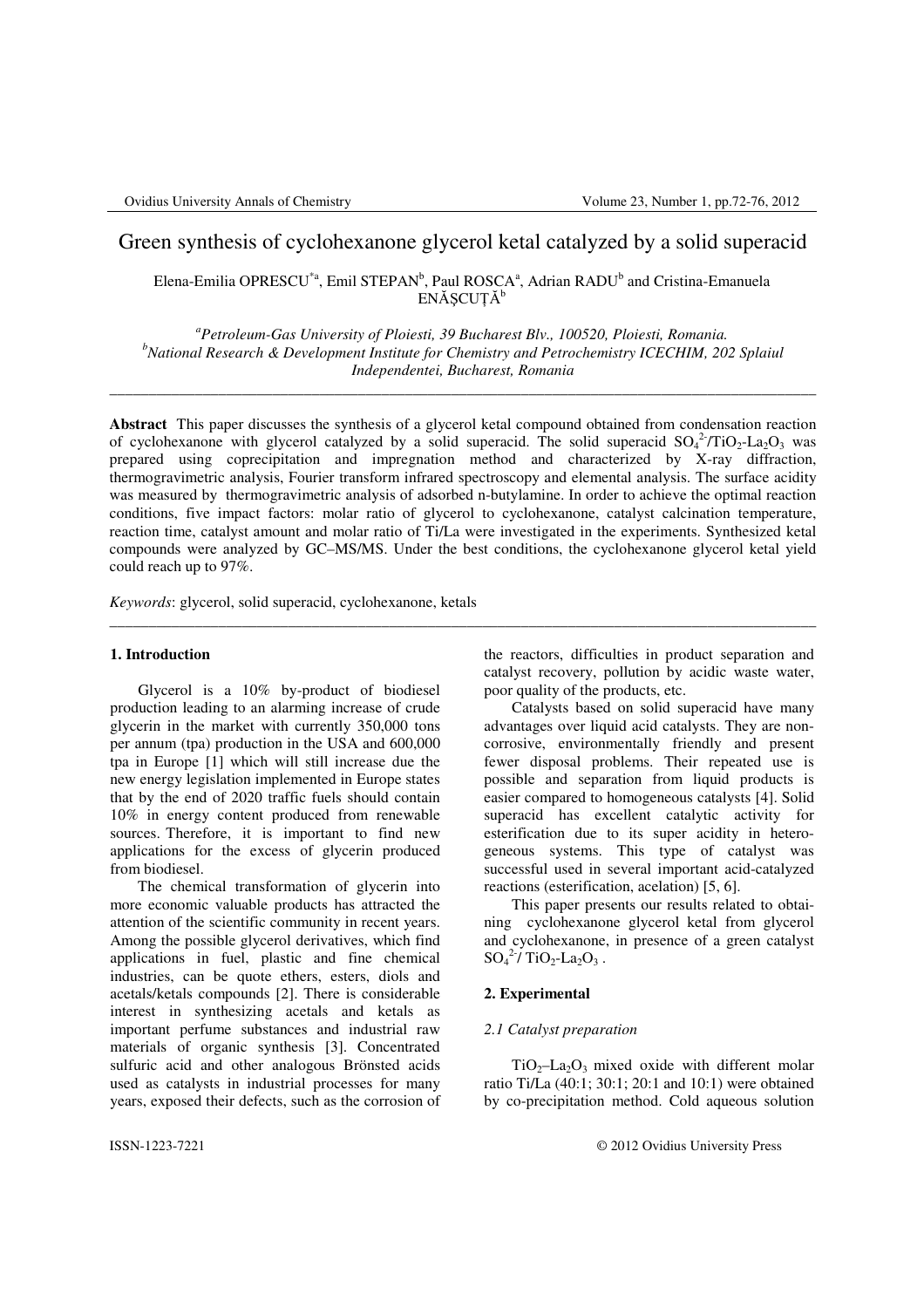# Green synthesis of cyclohexanone glycerol ketal catalyzed by a solid superacid

Elena-Emilia OPRESCU<sup>\*a</sup>, Emil STEPAN<sup>b</sup>, Paul ROSCA<sup>a</sup>, Adrian RADU<sup>b</sup> and Cristina-Emanuela ENĂȘCUȚĂ<sup>b</sup>

*<sup>a</sup>Petroleum-Gas University of Ploiesti, 39 Bucharest Blv., 100520, Ploiesti, Romania. <sup>b</sup>National Research & Development Institute for Chemistry and Petrochemistry ICECHIM, 202 Splaiul Independentei, Bucharest, Romania*

\_\_\_\_\_\_\_\_\_\_\_\_\_\_\_\_\_\_\_\_\_\_\_\_\_\_\_\_\_\_\_\_\_\_\_\_\_\_\_\_\_\_\_\_\_\_\_\_\_\_\_\_\_\_\_\_\_\_\_\_\_\_\_\_\_\_\_\_\_\_\_\_\_\_\_\_\_\_\_\_\_\_\_\_\_\_\_\_\_\_\_

**Abstract** This paper discusses the synthesis of a glycerol ketal compound obtained from condensation reaction of cyclohexanone with glycerol catalyzed by a solid superacid. The solid superacid  $SO_4^2/TiO_2$ -La<sub>2</sub>O<sub>3</sub> was prepared using coprecipitation and impregnation method and characterized by X-ray diffraction, thermogravimetric analysis, Fourier transform infrared spectroscopy and elemental analysis. The surface acidity was measured by thermogravimetric analysis of adsorbed n-butylamine. In order to achieve the optimal reaction conditions, five impact factors: molar ratio of glycerol to cyclohexanone, catalyst calcination temperature, reaction time, catalyst amount and molar ratio of Ti/La were investigated in the experiments. Synthesized ketal compounds were analyzed by GC–MS/MS. Under the best conditions, the cyclohexanone glycerol ketal yield could reach up to 97%.

\_\_\_\_\_\_\_\_\_\_\_\_\_\_\_\_\_\_\_\_\_\_\_\_\_\_\_\_\_\_\_\_\_\_\_\_\_\_\_\_\_\_\_\_\_\_\_\_\_\_\_\_\_\_\_\_\_\_\_\_\_\_\_\_\_\_\_\_\_\_\_\_\_\_\_\_\_\_\_\_\_\_\_\_\_\_\_\_\_\_\_

*Keywords*: glycerol, solid superacid, cyclohexanone, ketals

## **1. Introduction**

 Glycerol is a 10% by-product of biodiesel production leading to an alarming increase of crude glycerin in the market with currently 350,000 tons per annum (tpa) production in the USA and 600,000 tpa in Europe [1] which will still increase due the new energy legislation implemented in Europe states that by the end of 2020 traffic fuels should contain 10% in energy content produced from renewable sources. Therefore, it is important to find new applications for the excess of glycerin produced from biodiesel.

The chemical transformation of glycerin into more economic valuable products has attracted the attention of the scientific community in recent years. Among the possible glycerol derivatives, which find applications in fuel, plastic and fine chemical industries, can be quote ethers, esters, diols and acetals/ketals compounds [2]. There is considerable interest in synthesizing acetals and ketals as important perfume substances and industrial raw materials of organic synthesis [3]. Concentrated sulfuric acid and other analogous Brönsted acids used as catalysts in industrial processes for many years, exposed their defects, such as the corrosion of the reactors, difficulties in product separation and catalyst recovery, pollution by acidic waste water, poor quality of the products, etc.

Catalysts based on solid superacid have many advantages over liquid acid catalysts. They are noncorrosive, environmentally friendly and present fewer disposal problems. Their repeated use is possible and separation from liquid products is easier compared to homogeneous catalysts [4]. Solid superacid has excellent catalytic activity for esterification due to its super acidity in heterogeneous systems. This type of catalyst was successful used in several important acid-catalyzed reactions (esterification, acelation) [5, 6].

This paper presents our results related to obtaining cyclohexanone glycerol ketal from glycerol and cyclohexanone, in presence of a green catalyst  $SO_4^2$ / TiO<sub>2</sub>-La<sub>2</sub>O<sub>3</sub>.

# **2. Experimental**

#### *2.1 Catalyst preparation*

 $TiO<sub>2</sub>$ –La<sub>2</sub>O<sub>3</sub> mixed oxide with different molar ratio Ti/La (40:1; 30:1; 20:1 and 10:1) were obtained by co-precipitation method. Cold aqueous solution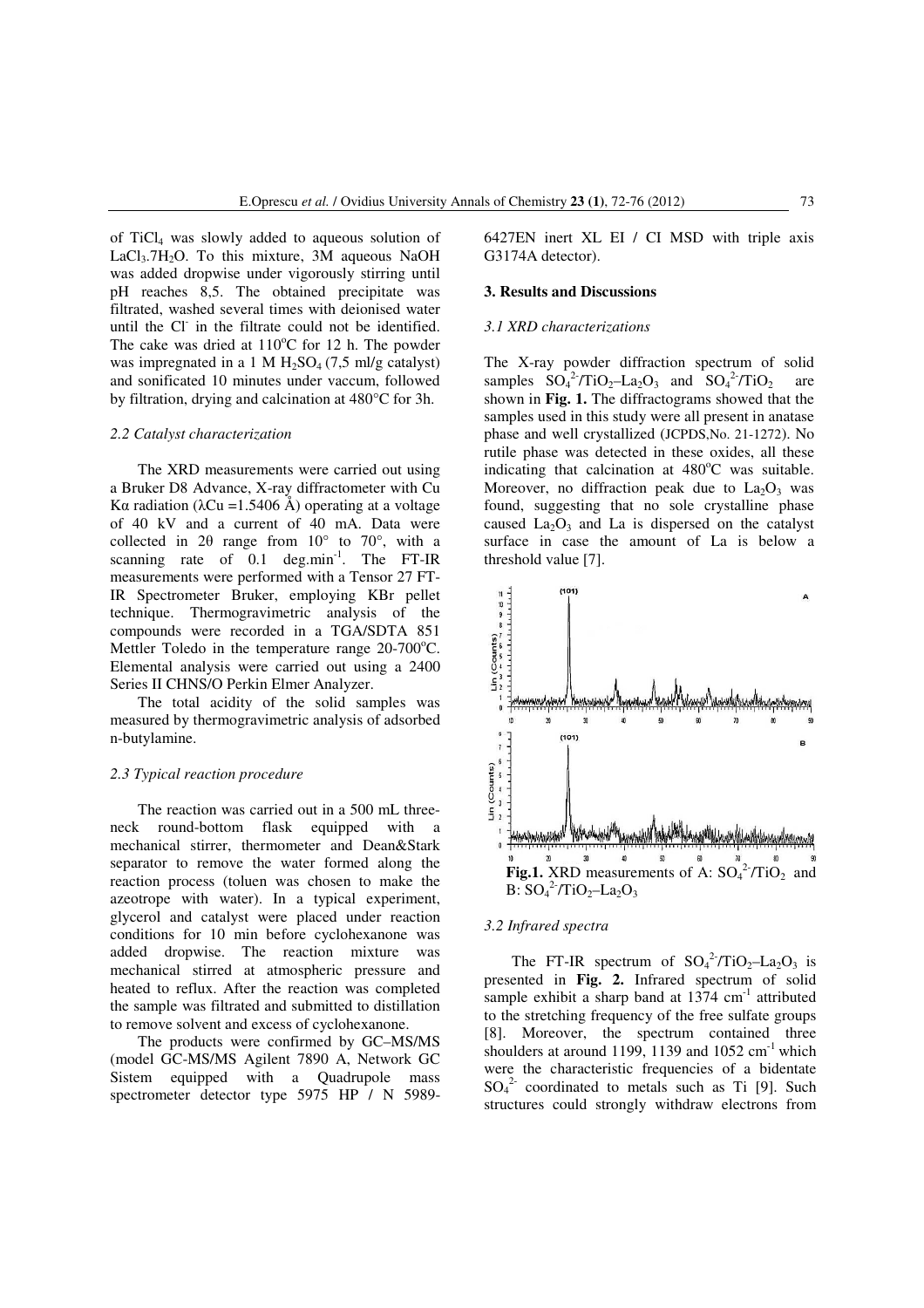of TiCl4 was slowly added to aqueous solution of LaCl<sub>3</sub>.7H<sub>2</sub>O. To this mixture, 3M aqueous NaOH was added dropwise under vigorously stirring until pH reaches 8,5. The obtained precipitate was filtrated, washed several times with deionised water until the Cl- in the filtrate could not be identified. The cake was dried at  $110^{\circ}$ C for 12 h. The powder was impregnated in a 1 M  $H<sub>2</sub>SO<sub>4</sub>(7,5)$  ml/g catalyst) and sonificated 10 minutes under vaccum, followed by filtration, drying and calcination at 480°C for 3h.

## *2.2 Catalyst characterization*

The XRD measurements were carried out using a Bruker D8 Advance, X-ray diffractometer with Cu Kα radiation (λCu = 1.5406 Å) operating at a voltage of 40 kV and a current of 40 mA. Data were collected in 2 $\theta$  range from 10 $\degree$  to 70 $\degree$ , with a scanning rate of  $0.1$  deg.min<sup>-1</sup>. The FT-IR measurements were performed with a Tensor 27 FT-IR Spectrometer Bruker, employing KBr pellet technique. Thermogravimetric analysis of the compounds were recorded in a TGA/SDTA 851 Mettler Toledo in the temperature range  $20-700^{\circ}$ C. Elemental analysis were carried out using a 2400 Series II CHNS/O Perkin Elmer Analyzer.

The total acidity of the solid samples was measured by thermogravimetric analysis of adsorbed n-butylamine.

### *2.3 Typical reaction procedure*

The reaction was carried out in a 500 mL threeneck round-bottom flask equipped with a mechanical stirrer, thermometer and Dean&Stark separator to remove the water formed along the reaction process (toluen was chosen to make the azeotrope with water). In a typical experiment, glycerol and catalyst were placed under reaction conditions for 10 min before cyclohexanone was added dropwise. The reaction mixture was mechanical stirred at atmospheric pressure and heated to reflux. After the reaction was completed the sample was filtrated and submitted to distillation to remove solvent and excess of cyclohexanone.

The products were confirmed by GC–MS/MS (model GC-MS/MS Agilent 7890 A, Network GC Sistem equipped with a Quadrupole mass spectrometer detector type 5975 HP / N 59896427EN inert XL EI / CI MSD with triple axis G3174A detector).

#### **3. Results and Discussions**

#### *3.1 XRD characterizations*

The X-ray powder diffraction spectrum of solid samples  $SO_4^2/TiO_2-La_2O_3$  and  $SO_4^2/TiO_2$  are shown in **Fig. 1.** The diffractograms showed that the samples used in this study were all present in anatase phase and well crystallized (JCPDS,No. 21-1272). No rutile phase was detected in these oxides, all these indicating that calcination at  $480^{\circ}$ C was suitable. Moreover, no diffraction peak due to  $La_2O_3$  was found, suggesting that no sole crystalline phase caused  $La<sub>2</sub>O<sub>3</sub>$  and La is dispersed on the catalyst surface in case the amount of La is below a threshold value [7].



# *3.2 Infrared spectra*

The FT-IR spectrum of  $SO_4^2/TiO_2-La_2O_3$  is presented in **Fig. 2.** Infrared spectrum of solid sample exhibit a sharp band at  $1374 \text{ cm}^{-1}$  attributed to the stretching frequency of the free sulfate groups [8]. Moreover, the spectrum contained three shoulders at around 1199, 1139 and  $1052 \text{ cm}^{-1}$  which were the characteristic frequencies of a bidentate  $SO_4^2$  coordinated to metals such as Ti [9]. Such structures could strongly withdraw electrons from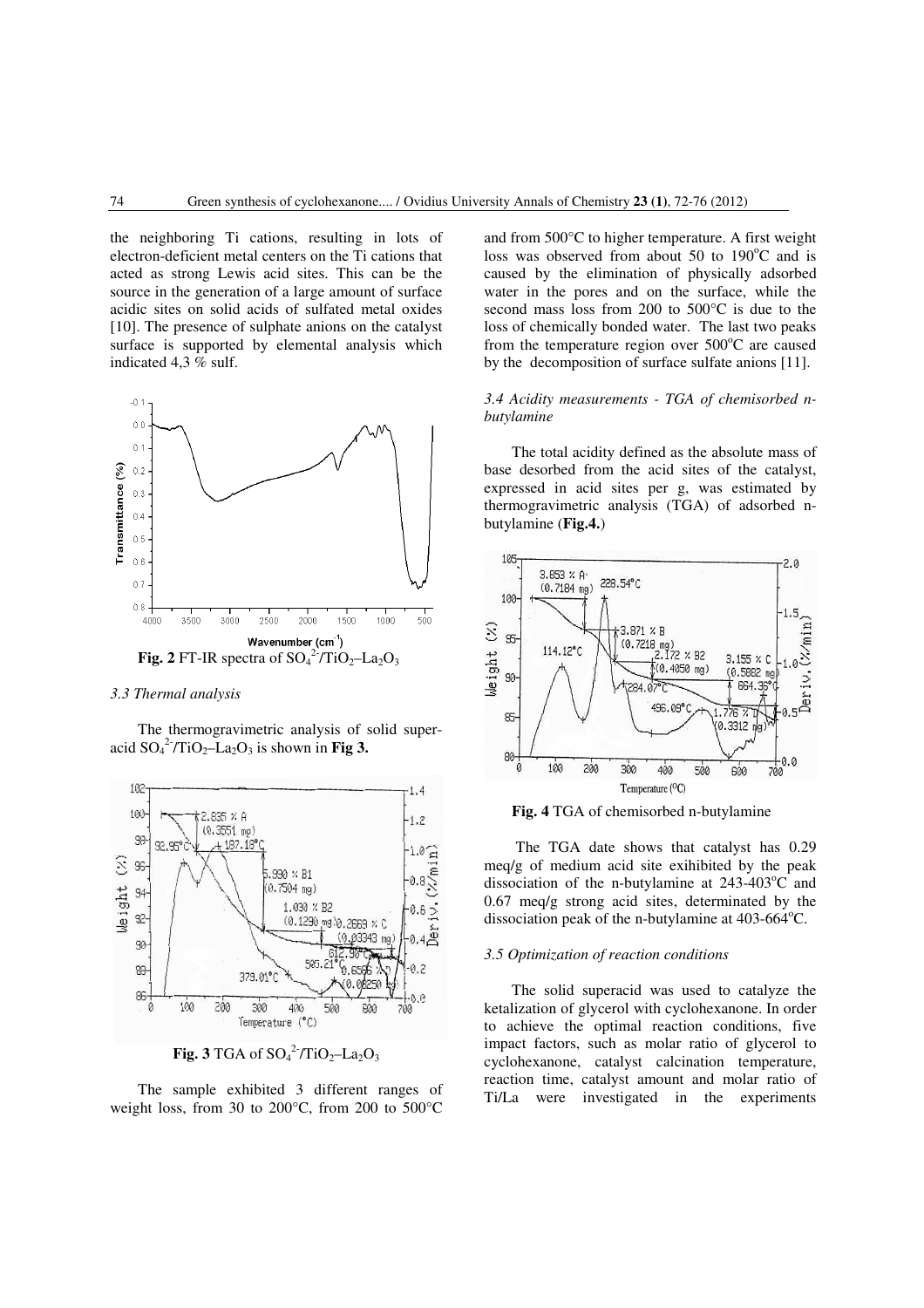the neighboring Ti cations, resulting in lots of electron-deficient metal centers on the Ti cations that acted as strong Lewis acid sites. This can be the source in the generation of a large amount of surface acidic sites on solid acids of sulfated metal oxides [10]. The presence of sulphate anions on the catalyst surface is supported by elemental analysis which indicated 4,3 % sulf.



#### *3.3 Thermal analysis*

The thermogravimetric analysis of solid superacid  $SO_4^2$ <sup>-</sup>/TiO<sub>2</sub>-La<sub>2</sub>O<sub>3</sub> is shown in **Fig 3.** 



**Fig. 3** TGA of  $\mathrm{SO_4}^2$ <sup>-</sup>/TiO<sub>2</sub>-La<sub>2</sub>O<sub>3</sub>

The sample exhibited 3 different ranges of weight loss, from 30 to 200°C, from 200 to 500°C

and from 500°C to higher temperature. A first weight loss was observed from about 50 to  $190^{\circ}$ C and is caused by the elimination of physically adsorbed water in the pores and on the surface, while the second mass loss from 200 to 500°C is due to the loss of chemically bonded water. The last two peaks from the temperature region over  $500^{\circ}$ C are caused by the decomposition of surface sulfate anions [11].

## *3.4 Acidity measurements - TGA of chemisorbed nbutylamine*

The total acidity defined as the absolute mass of base desorbed from the acid sites of the catalyst, expressed in acid sites per g, was estimated by thermogravimetric analysis (TGA) of adsorbed nbutylamine (**Fig.4.**)





 The TGA date shows that catalyst has 0.29 meq/g of medium acid site exihibited by the peak dissociation of the n-butylamine at  $243-403^{\circ}$ C and 0.67 meq/g strong acid sites, determinated by the dissociation peak of the n-butylamine at  $403-664^{\circ}$ C.

## *3.5 Optimization of reaction conditions*

The solid superacid was used to catalyze the ketalization of glycerol with cyclohexanone. In order to achieve the optimal reaction conditions, five impact factors, such as molar ratio of glycerol to cyclohexanone, catalyst calcination temperature, reaction time, catalyst amount and molar ratio of Ti/La were investigated in the experiments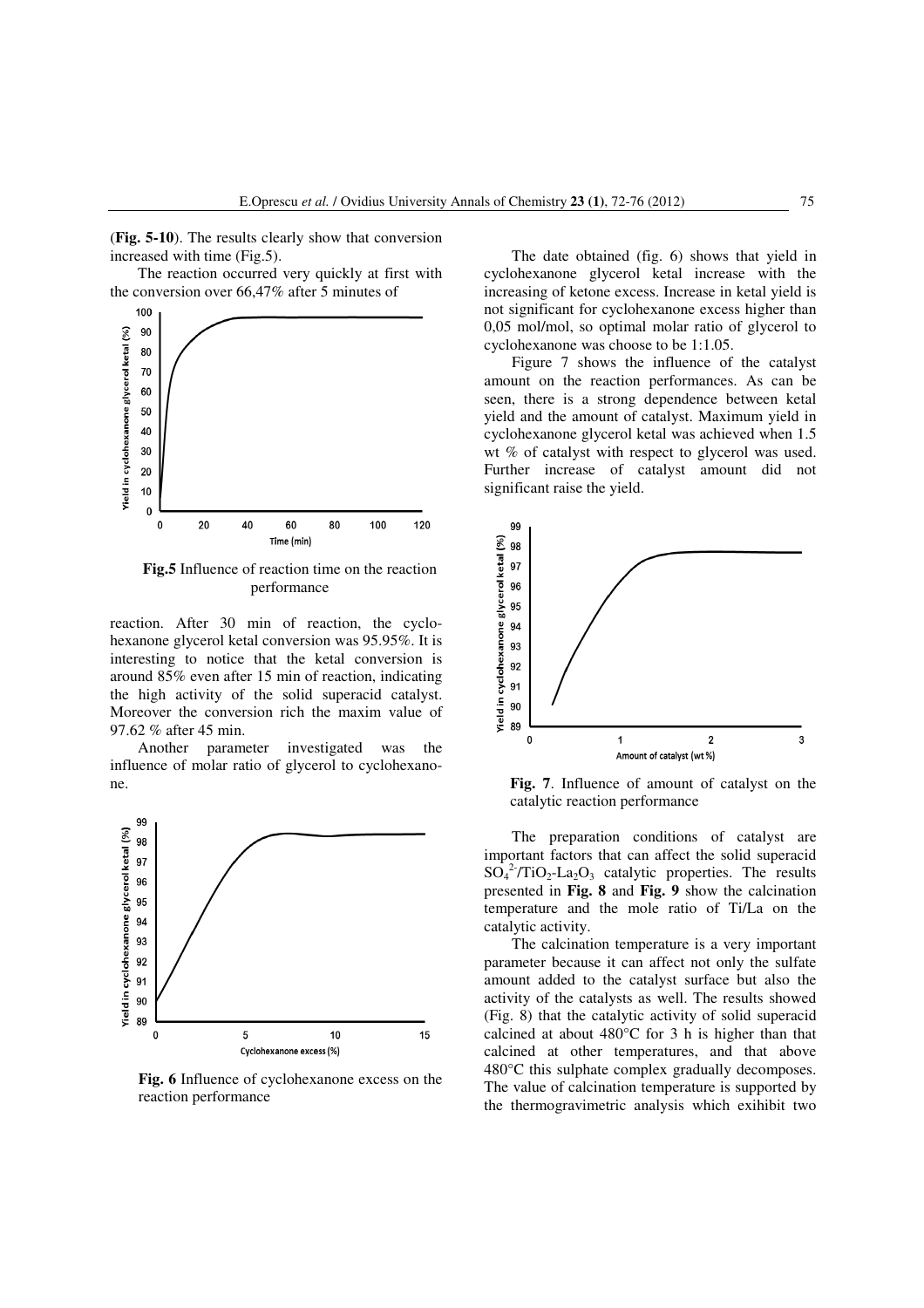(**Fig. 5-10**). The results clearly show that conversion increased with time (Fig.5).

The reaction occurred very quickly at first with the conversion over 66,47% after 5 minutes of



**Fig.5** Influence of reaction time on the reaction performance

reaction. After 30 min of reaction, the cyclohexanone glycerol ketal conversion was 95.95%. It is interesting to notice that the ketal conversion is around 85% even after 15 min of reaction, indicating the high activity of the solid superacid catalyst. Moreover the conversion rich the maxim value of 97.62 % after 45 min.

Another parameter investigated was the influence of molar ratio of glycerol to cyclohexanone.



**Fig. 6** Influence of cyclohexanone excess on the reaction performance

The date obtained (fig. 6) shows that yield in cyclohexanone glycerol ketal increase with the increasing of ketone excess. Increase in ketal yield is not significant for cyclohexanone excess higher than 0,05 mol/mol, so optimal molar ratio of glycerol to cyclohexanone was choose to be 1:1.05.

Figure 7 shows the influence of the catalyst amount on the reaction performances. As can be seen, there is a strong dependence between ketal yield and the amount of catalyst. Maximum yield in cyclohexanone glycerol ketal was achieved when 1.5 wt % of catalyst with respect to glycerol was used. Further increase of catalyst amount did not significant raise the yield.



**Fig. 7**. Influence of amount of catalyst on the catalytic reaction performance

The preparation conditions of catalyst are important factors that can affect the solid superacid  $SO_4^2$ <sup>-</sup>/TiO<sub>2</sub>-La<sub>2</sub>O<sub>3</sub> catalytic properties. The results presented in **Fig. 8** and **Fig. 9** show the calcination temperature and the mole ratio of Ti/La on the catalytic activity.

The calcination temperature is a very important parameter because it can affect not only the sulfate amount added to the catalyst surface but also the activity of the catalysts as well. The results showed (Fig. 8) that the catalytic activity of solid superacid calcined at about 480°C for 3 h is higher than that calcined at other temperatures, and that above 480°C this sulphate complex gradually decomposes. The value of calcination temperature is supported by the thermogravimetric analysis which exihibit two